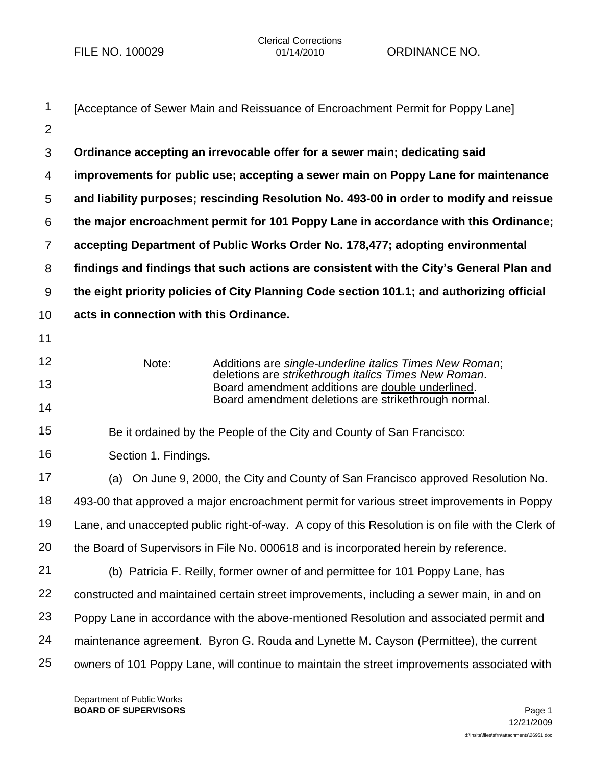| 1              | [Acceptance of Sewer Main and Reissuance of Encroachment Permit for Poppy Lane]                                                  |
|----------------|----------------------------------------------------------------------------------------------------------------------------------|
| 2              |                                                                                                                                  |
| 3              | Ordinance accepting an irrevocable offer for a sewer main; dedicating said                                                       |
| 4              | improvements for public use; accepting a sewer main on Poppy Lane for maintenance                                                |
| 5              | and liability purposes; rescinding Resolution No. 493-00 in order to modify and reissue                                          |
| 6              | the major encroachment permit for 101 Poppy Lane in accordance with this Ordinance;                                              |
| $\overline{7}$ | accepting Department of Public Works Order No. 178,477; adopting environmental                                                   |
| 8              | findings and findings that such actions are consistent with the City's General Plan and                                          |
| 9              | the eight priority policies of City Planning Code section 101.1; and authorizing official                                        |
| 10             | acts in connection with this Ordinance.                                                                                          |
| 11             |                                                                                                                                  |
| 12             | Note:<br>Additions are single-underline italics Times New Roman;<br>deletions are <i>strikethrough italics Times New Roman</i> . |
| 13             | Board amendment additions are double underlined.                                                                                 |
| 14             | Board amendment deletions are strikethrough normal.                                                                              |
| 15             | Be it ordained by the People of the City and County of San Francisco:                                                            |
| 16             | Section 1. Findings.                                                                                                             |
| 17             | On June 9, 2000, the City and County of San Francisco approved Resolution No.<br>(a)                                             |
| 18             | 493-00 that approved a major encroachment permit for various street improvements in Poppy                                        |
| 19             | Lane, and unaccepted public right-of-way. A copy of this Resolution is on file with the Clerk of                                 |
| 20             | the Board of Supervisors in File No. 000618 and is incorporated herein by reference.                                             |
| 21             | (b) Patricia F. Reilly, former owner of and permittee for 101 Poppy Lane, has                                                    |
| 22             | constructed and maintained certain street improvements, including a sewer main, in and on                                        |
| 23             | Poppy Lane in accordance with the above-mentioned Resolution and associated permit and                                           |
| 24             | maintenance agreement. Byron G. Rouda and Lynette M. Cayson (Permittee), the current                                             |
| 25             | owners of 101 Poppy Lane, will continue to maintain the street improvements associated with                                      |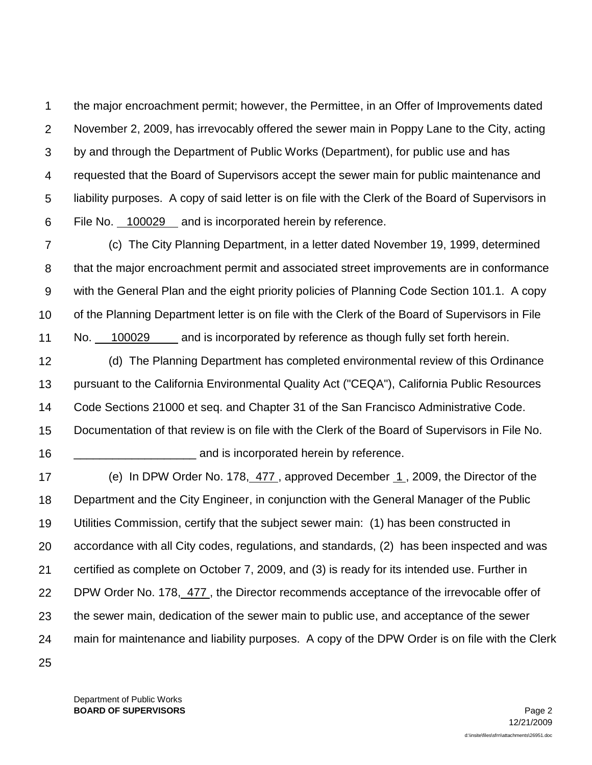1 2 3 4 5 6 the major encroachment permit; however, the Permittee, in an Offer of Improvements dated November 2, 2009, has irrevocably offered the sewer main in Poppy Lane to the City, acting by and through the Department of Public Works (Department), for public use and has requested that the Board of Supervisors accept the sewer main for public maintenance and liability purposes. A copy of said letter is on file with the Clerk of the Board of Supervisors in File No. 100029 and is incorporated herein by reference.

7 8 9 10 11 (c) The City Planning Department, in a letter dated November 19, 1999, determined that the major encroachment permit and associated street improvements are in conformance with the General Plan and the eight priority policies of Planning Code Section 101.1. A copy of the Planning Department letter is on file with the Clerk of the Board of Supervisors in File No. 100029 and is incorporated by reference as though fully set forth herein.

12 13 14 15 (d) The Planning Department has completed environmental review of this Ordinance pursuant to the California Environmental Quality Act ("CEQA"), California Public Resources Code Sections 21000 et seq. and Chapter 31 of the San Francisco Administrative Code. Documentation of that review is on file with the Clerk of the Board of Supervisors in File No.

and is incorporated herein by reference.

17 18 19 20 21 22 23 24 25 (e) In DPW Order No. 178, 477 , approved December 1 , 2009, the Director of the Department and the City Engineer, in conjunction with the General Manager of the Public Utilities Commission, certify that the subject sewer main: (1) has been constructed in accordance with all City codes, regulations, and standards, (2) has been inspected and was certified as complete on October 7, 2009, and (3) is ready for its intended use. Further in DPW Order No. 178, 477 , the Director recommends acceptance of the irrevocable offer of the sewer main, dedication of the sewer main to public use, and acceptance of the sewer main for maintenance and liability purposes. A copy of the DPW Order is on file with the Clerk

Department of Public Works **BOARD OF SUPERVISORS** Page 2

16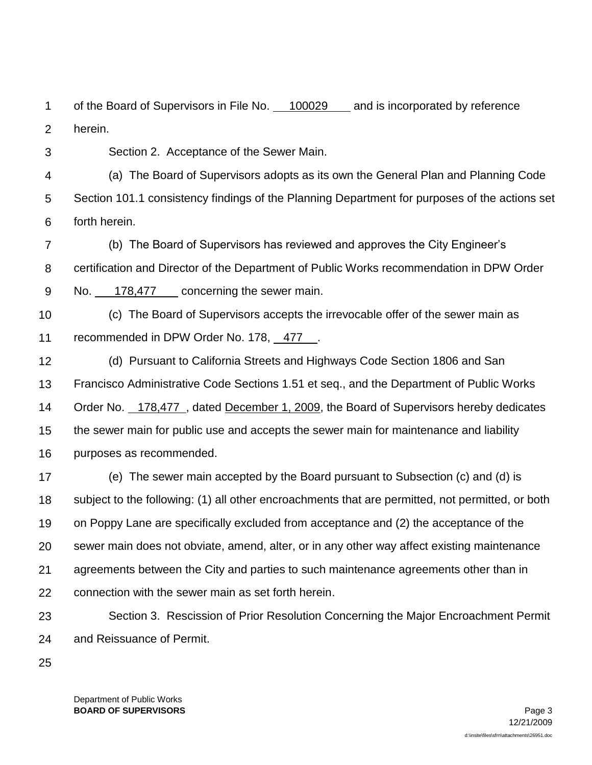1 2 of the Board of Supervisors in File No. 100029 and is incorporated by reference herein.

3

Section 2. Acceptance of the Sewer Main.

4 5 6 (a) The Board of Supervisors adopts as its own the General Plan and Planning Code Section 101.1 consistency findings of the Planning Department for purposes of the actions set forth herein.

7 8 9 (b) The Board of Supervisors has reviewed and approves the City Engineer's certification and Director of the Department of Public Works recommendation in DPW Order No. 178,477 concerning the sewer main.

10 11 (c) The Board of Supervisors accepts the irrevocable offer of the sewer main as recommended in DPW Order No. 178, 477 .

12 13 14 15 16 (d) Pursuant to California Streets and Highways Code Section 1806 and San Francisco Administrative Code Sections 1.51 et seq., and the Department of Public Works Order No. 178,477 , dated December 1, 2009, the Board of Supervisors hereby dedicates the sewer main for public use and accepts the sewer main for maintenance and liability purposes as recommended.

17 18 19 20 21 22 (e) The sewer main accepted by the Board pursuant to Subsection (c) and (d) is subject to the following: (1) all other encroachments that are permitted, not permitted, or both on Poppy Lane are specifically excluded from acceptance and (2) the acceptance of the sewer main does not obviate, amend, alter, or in any other way affect existing maintenance agreements between the City and parties to such maintenance agreements other than in connection with the sewer main as set forth herein.

23 24 Section 3. Rescission of Prior Resolution Concerning the Major Encroachment Permit and Reissuance of Permit.

25

Department of Public Works **BOARD OF SUPERVISORS** Page 3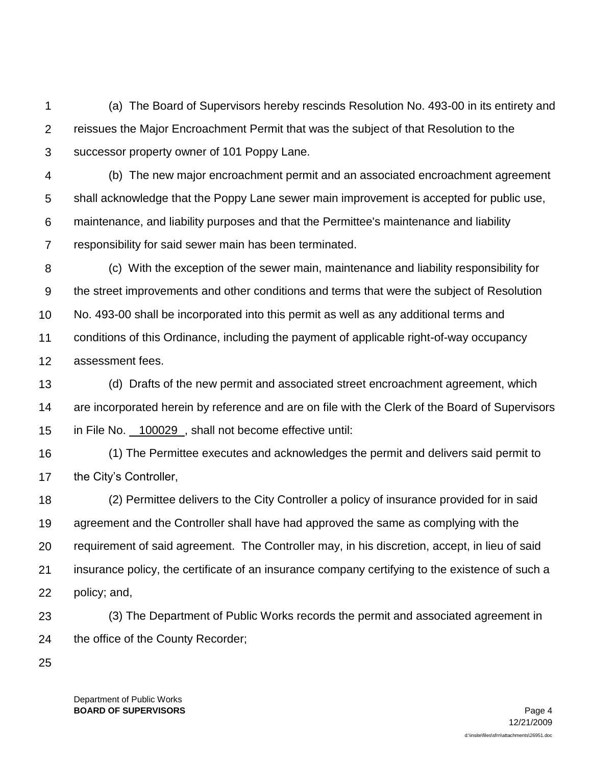1 2 3 (a) The Board of Supervisors hereby rescinds Resolution No. 493-00 in its entirety and reissues the Major Encroachment Permit that was the subject of that Resolution to the successor property owner of 101 Poppy Lane.

- 4 5 6 7 (b) The new major encroachment permit and an associated encroachment agreement shall acknowledge that the Poppy Lane sewer main improvement is accepted for public use, maintenance, and liability purposes and that the Permittee's maintenance and liability responsibility for said sewer main has been terminated.
- 8 9 10 11 12 (c) With the exception of the sewer main, maintenance and liability responsibility for the street improvements and other conditions and terms that were the subject of Resolution No. 493-00 shall be incorporated into this permit as well as any additional terms and conditions of this Ordinance, including the payment of applicable right-of-way occupancy assessment fees.
- 13 14 15 (d) Drafts of the new permit and associated street encroachment agreement, which are incorporated herein by reference and are on file with the Clerk of the Board of Supervisors in File No. 100029 , shall not become effective until:
- 16 17 (1) The Permittee executes and acknowledges the permit and delivers said permit to the City's Controller,
- 18 19 20 21 22 (2) Permittee delivers to the City Controller a policy of insurance provided for in said agreement and the Controller shall have had approved the same as complying with the requirement of said agreement. The Controller may, in his discretion, accept, in lieu of said insurance policy, the certificate of an insurance company certifying to the existence of such a policy; and,
- 23 24 (3) The Department of Public Works records the permit and associated agreement in the office of the County Recorder;
- 25